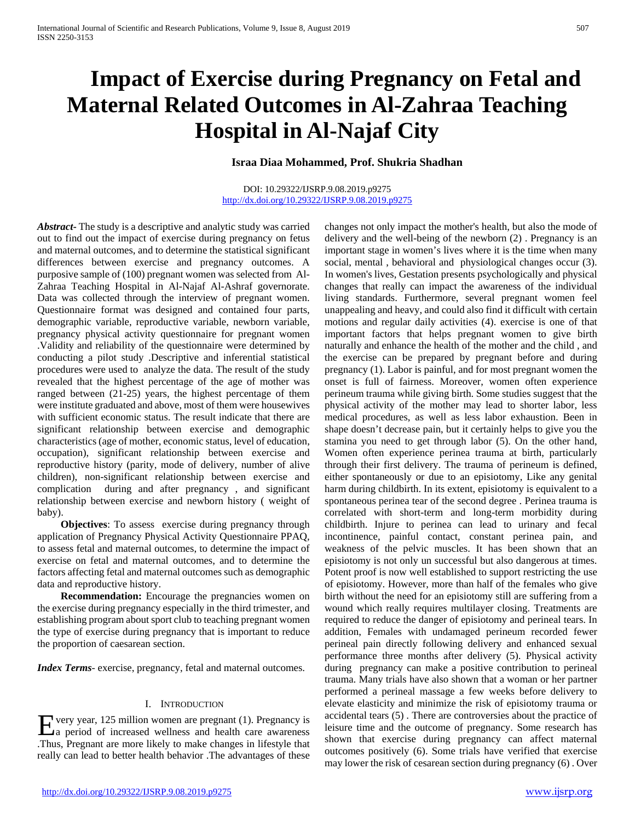# **Impact of Exercise during Pregnancy on Fetal and Maternal Related Outcomes in Al-Zahraa Teaching Hospital in Al-Najaf City**

## **Israa Diaa Mohammed, Prof. Shukria Shadhan**

#### DOI: 10.29322/IJSRP.9.08.2019.p9275 <http://dx.doi.org/10.29322/IJSRP.9.08.2019.p9275>

*Abstract***-** The study is a descriptive and analytic study was carried out to find out the impact of exercise during pregnancy on fetus and maternal outcomes, and to determine the statistical significant differences between exercise and pregnancy outcomes. A purposive sample of (100) pregnant women was selected from Al-Zahraa Teaching Hospital in Al-Najaf Al-Ashraf governorate. Data was collected through the interview of pregnant women. Questionnaire format was designed and contained four parts, demographic variable, reproductive variable, newborn variable, pregnancy physical activity questionnaire for pregnant women .Validity and reliability of the questionnaire were determined by conducting a pilot study .Descriptive and inferential statistical procedures were used to analyze the data. The result of the study revealed that the highest percentage of the age of mother was ranged between (21-25) years, the highest percentage of them were institute graduated and above, most of them were housewives with sufficient economic status. The result indicate that there are significant relationship between exercise and demographic characteristics (age of mother, economic status, level of education, occupation), significant relationship between exercise and reproductive history (parity, mode of delivery, number of alive children), non-significant relationship between exercise and complication during and after pregnancy , and significant relationship between exercise and newborn history ( weight of baby).

 **Objectives**: To assess exercise during pregnancy through application of Pregnancy Physical Activity Questionnaire PPAQ, to assess fetal and maternal outcomes, to determine the impact of exercise on fetal and maternal outcomes, and to determine the factors affecting fetal and maternal outcomes such as demographic data and reproductive history.

**Recommendation:** Encourage the pregnancies women on the exercise during pregnancy especially in the third trimester, and establishing program about sport club to teaching pregnant women the type of exercise during pregnancy that is important to reduce the proportion of caesarean section.

*Index Terms*- exercise, pregnancy, fetal and maternal outcomes.

## I. INTRODUCTION

Every year, 125 million women are pregnant (1). Pregnancy is<br>
a period of increased wellness and health care awareness  $\Delta a$  period of increased wellness and health care awareness .Thus, Pregnant are more likely to make changes in lifestyle that really can lead to better health behavior .The advantages of these

changes not only impact the mother's health, but also the mode of delivery and the well-being of the newborn (2) . Pregnancy is an important stage in women's lives where it is the time when many social, mental , behavioral and physiological changes occur (3). In women's lives, Gestation presents psychologically and physical changes that really can impact the awareness of the individual living standards. Furthermore, several pregnant women feel unappealing and heavy, and could also find it difficult with certain motions and regular daily activities (4). exercise is one of that important factors that helps pregnant women to give birth naturally and enhance the health of the mother and the child , and the exercise can be prepared by pregnant before and during pregnancy (1). Labor is painful, and for most pregnant women the onset is full of fairness. Moreover, women often experience perineum trauma while giving birth. Some studies suggest that the physical activity of the mother may lead to shorter labor, less medical procedures, as well as less labor exhaustion. Been in shape doesn't decrease pain, but it certainly helps to give you the stamina you need to get through labor (5). On the other hand, Women often experience perinea trauma at birth, particularly through their first delivery. The trauma of perineum is defined, either spontaneously or due to an episiotomy, Like any genital harm during childbirth. In its extent, episiotomy is equivalent to a spontaneous perinea tear of the second degree . Perinea trauma is correlated with short-term and long-term morbidity during childbirth. Injure to perinea can lead to urinary and fecal incontinence, painful contact, constant perinea pain, and weakness of the pelvic muscles. It has been shown that an episiotomy is not only un successful but also dangerous at times. Potent proof is now well established to support restricting the use of episiotomy. However, more than half of the females who give birth without the need for an episiotomy still are suffering from a wound which really requires multilayer closing. Treatments are required to reduce the danger of episiotomy and perineal tears. In addition, Females with undamaged perineum recorded fewer perineal pain directly following delivery and enhanced sexual performance three months after delivery (5). Physical activity during pregnancy can make a positive contribution to perineal trauma. Many trials have also shown that a woman or her partner performed a perineal massage a few weeks before delivery to elevate elasticity and minimize the risk of episiotomy trauma or accidental tears (5) . There are controversies about the practice of leisure time and the outcome of pregnancy. Some research has shown that exercise during pregnancy can affect maternal outcomes positively (6). Some trials have verified that exercise may lower the risk of cesarean section during pregnancy (6) . Over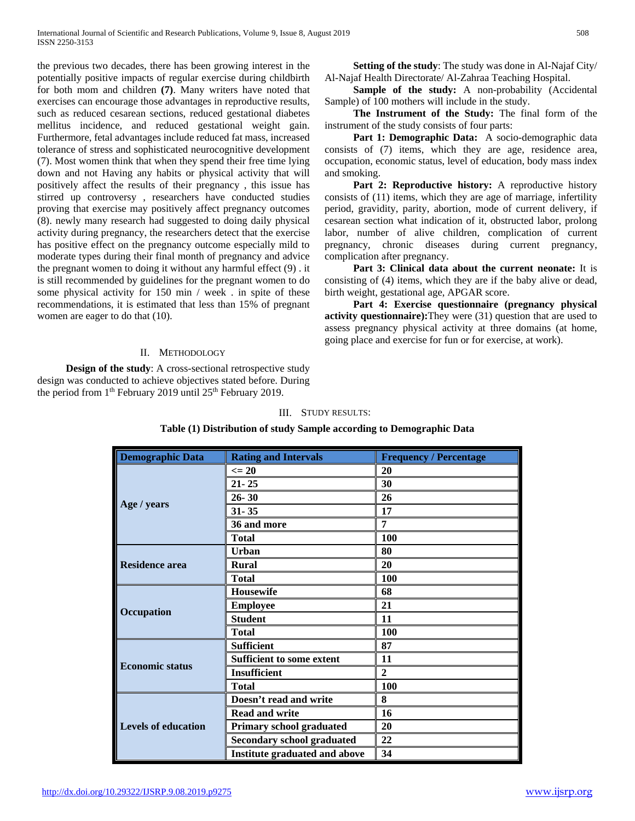the previous two decades, there has been growing interest in the potentially positive impacts of regular exercise during childbirth for both mom and children **(7)**. Many writers have noted that exercises can encourage those advantages in reproductive results, such as reduced cesarean sections, reduced gestational diabetes mellitus incidence, and reduced gestational weight gain. Furthermore, fetal advantages include reduced fat mass, increased tolerance of stress and sophisticated neurocognitive development (7). Most women think that when they spend their free time lying down and not Having any habits or physical activity that will positively affect the results of their pregnancy , this issue has stirred up controversy , researchers have conducted studies proving that exercise may positively affect pregnancy outcomes (8). newly many research had suggested to doing daily physical activity during pregnancy, the researchers detect that the exercise has positive effect on the pregnancy outcome especially mild to moderate types during their final month of pregnancy and advice the pregnant women to doing it without any harmful effect (9) . it is still recommended by guidelines for the pregnant women to do some physical activity for 150 min / week . in spite of these recommendations, it is estimated that less than 15% of pregnant women are eager to do that (10).

#### II. METHODOLOGY

**Design of the study:** A cross-sectional retrospective study design was conducted to achieve objectives stated before. During the period from 1<sup>th</sup> February 2019 until 25<sup>th</sup> February 2019.

 **Setting of the study**: The study was done in Al-Najaf City/ Al-Najaf Health Directorate/ Al-Zahraa Teaching Hospital.

**Sample of the study:** A non-probability (Accidental Sample) of 100 mothers will include in the study.

 **The Instrument of the Study:** The final form of the instrument of the study consists of four parts:

Part 1: Demographic Data: A socio-demographic data consists of (7) items, which they are age, residence area, occupation, economic status, level of education, body mass index and smoking.

Part 2: Reproductive history: A reproductive history consists of (11) items, which they are age of marriage, infertility period, gravidity, parity, abortion, mode of current delivery, if cesarean section what indication of it, obstructed labor, prolong labor, number of alive children, complication of current pregnancy, chronic diseases during current pregnancy, complication after pregnancy.

 **Part 3: Clinical data about the current neonate:** It is consisting of (4) items, which they are if the baby alive or dead, birth weight, gestational age, APGAR score.

 **Part 4: Exercise questionnaire (pregnancy physical activity questionnaire):**They were (31) question that are used to assess pregnancy physical activity at three domains (at home, going place and exercise for fun or for exercise, at work).

#### III. STUDY RESULTS:

| <b>Demographic Data</b>    | <b>Rating and Intervals</b>          | <b>Frequency / Percentage</b> |
|----------------------------|--------------------------------------|-------------------------------|
|                            | $\leq$ 20                            | 20                            |
|                            | $21 - 25$                            | 30                            |
|                            | $26 - 30$                            | 26                            |
| Age / years                | $31 - 35$                            | 17                            |
|                            | 36 and more                          | 7                             |
|                            | <b>Total</b>                         | 100                           |
|                            | <b>Urban</b>                         | 80                            |
| <b>Residence area</b>      | <b>Rural</b>                         | 20                            |
|                            | <b>Total</b>                         | 100                           |
|                            | <b>Housewife</b>                     | 68                            |
|                            | <b>Employee</b>                      | 21                            |
| Occupation                 | <b>Student</b>                       | 11                            |
|                            | <b>Total</b>                         | 100                           |
|                            | <b>Sufficient</b>                    | 87                            |
| <b>Economic status</b>     | <b>Sufficient to some extent</b>     | 11                            |
|                            | <b>Insufficient</b>                  | $\mathbf{2}$                  |
|                            | <b>Total</b>                         | 100                           |
| <b>Levels of education</b> | Doesn't read and write               | 8                             |
|                            | <b>Read and write</b>                | 16                            |
|                            | Primary school graduated             | 20                            |
|                            | <b>Secondary school graduated</b>    | 22                            |
|                            | <b>Institute graduated and above</b> | 34                            |

## **Table (1) Distribution of study Sample according to Demographic Data**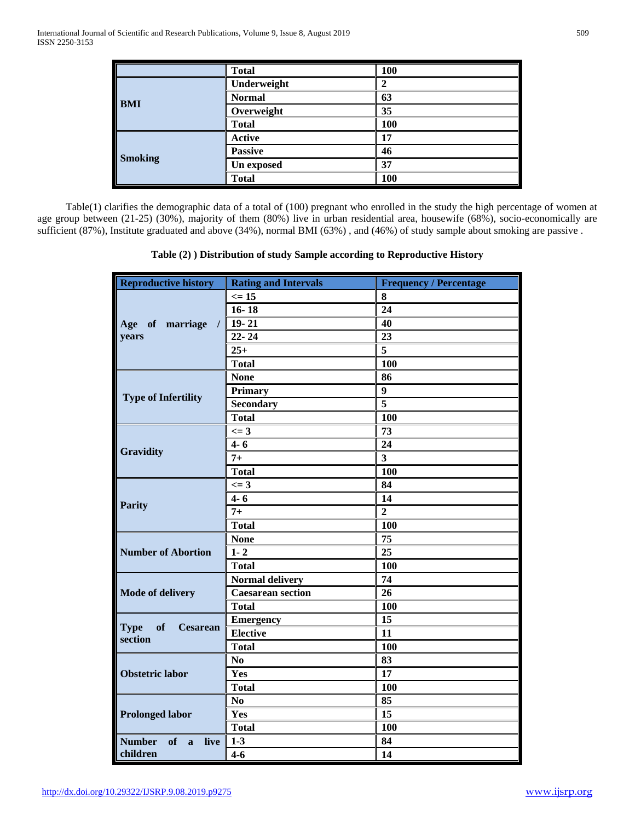|                | <b>Total</b>   | 100 |
|----------------|----------------|-----|
| <b>BMI</b>     | Underweight    |     |
|                | <b>Normal</b>  | 63  |
|                | Overweight     | 35  |
|                | <b>Total</b>   | 100 |
| <b>Smoking</b> | <b>Active</b>  | 17  |
|                | <b>Passive</b> | 46  |
|                | Un exposed     | 37  |
|                | <b>Total</b>   | 100 |

Table(1) clarifies the demographic data of a total of (100) pregnant who enrolled in the study the high percentage of women at age group between (21-25) (30%), majority of them (80%) live in urban residential area, housewife (68%), socio-economically are sufficient (87%), Institute graduated and above (34%), normal BMI (63%) , and (46%) of study sample about smoking are passive .

**Table (2) ) Distribution of study Sample according to Reproductive History**

| <b>Reproductive history</b>                     | <b>Rating and Intervals</b> | <b>Frequency / Percentage</b> |
|-------------------------------------------------|-----------------------------|-------------------------------|
| of marriage<br>Age<br>$\prime$ 1                | $\leq 15$                   | 8                             |
|                                                 | $16 - 18$                   | 24                            |
|                                                 | $19 - 21$                   | 40                            |
| years                                           | $22 - 24$                   | 23                            |
|                                                 | $25+$                       | 5                             |
|                                                 | <b>Total</b>                | 100                           |
|                                                 | <b>None</b>                 | 86                            |
|                                                 | Primary                     | 9                             |
| <b>Type of Infertility</b>                      | Secondary                   | 5                             |
|                                                 | <b>Total</b>                | 100                           |
|                                                 | $\leq$ = 3                  | 73                            |
|                                                 | $4 - 6$                     | 24                            |
| <b>Gravidity</b>                                | $7+$                        | $\overline{\mathbf{3}}$       |
|                                                 | <b>Total</b>                | 100                           |
|                                                 | $\leq$ 3                    | 84                            |
|                                                 | $4 - 6$                     | 14                            |
| <b>Parity</b>                                   | $7+$                        | $\overline{2}$                |
|                                                 | <b>Total</b>                | 100                           |
|                                                 | <b>None</b>                 | 75                            |
| <b>Number of Abortion</b>                       | $1 - 2$                     | 25                            |
|                                                 | <b>Total</b>                | 100                           |
|                                                 | <b>Normal delivery</b>      | 74                            |
| <b>Mode of delivery</b>                         | <b>Caesarean section</b>    | 26                            |
|                                                 | <b>Total</b>                | 100                           |
|                                                 | <b>Emergency</b>            | 15                            |
| <b>Type</b><br>of<br><b>Cesarean</b><br>section | <b>Elective</b>             | 11                            |
|                                                 | <b>Total</b>                | 100                           |
|                                                 | $\bf No$                    | 83                            |
| <b>Obstetric labor</b>                          | Yes                         | 17                            |
|                                                 | <b>Total</b>                | 100                           |
|                                                 | N <sub>0</sub>              | 85                            |
| <b>Prolonged labor</b>                          | Yes                         | 15                            |
|                                                 | <b>Total</b>                | 100                           |
| <b>Number</b><br>of<br>live<br>a                | $1-3$                       | 84                            |
| children                                        | $4 - 6$                     | 14                            |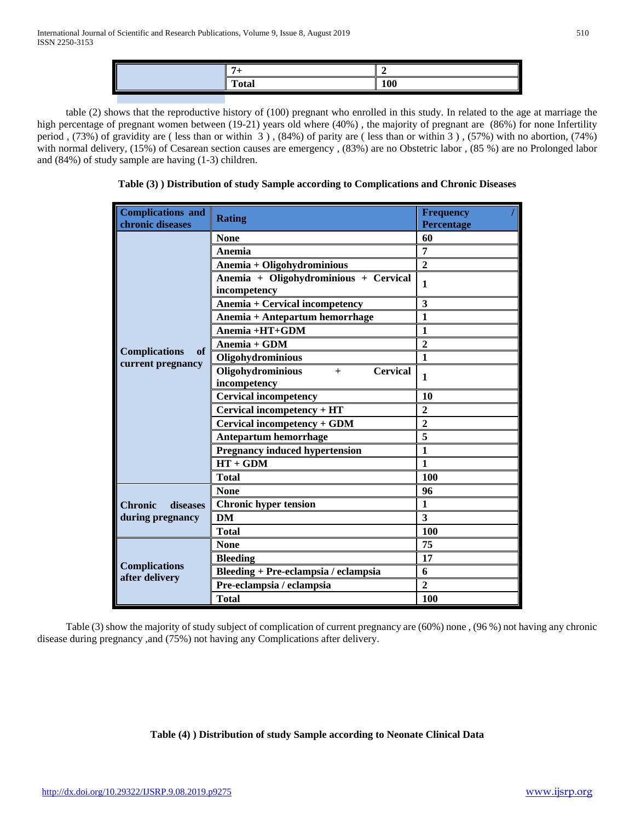| --<br>`otal | <b>100</b> |
|-------------|------------|
|             |            |

table (2) shows that the reproductive history of (100) pregnant who enrolled in this study. In related to the age at marriage the high percentage of pregnant women between (19-21) years old where (40%) , the majority of pregnant are (86%) for none Infertility period , (73%) of gravidity are ( less than or within 3 ) , (84%) of parity are ( less than or within 3 ) , (57%) with no abortion, (74%) with normal delivery, (15%) of Cesarean section causes are emergency , (83%) are no Obstetric labor , (85 %) are no Prolonged labor and (84%) of study sample are having (1-3) children.

**Table (3) ) Distribution of study Sample according to Complications and Chronic Diseases**

| <b>Complications and</b><br>chronic diseases | <b>Rating</b>                                               | <b>Frequency</b><br>Percentage |
|----------------------------------------------|-------------------------------------------------------------|--------------------------------|
|                                              | <b>None</b>                                                 | 60                             |
|                                              | Anemia                                                      | 7                              |
|                                              | Anemia + Oligohydrominious                                  | $\overline{2}$                 |
|                                              | Anemia + Oligohydrominious + Cervical<br>incompetency       | $\mathbf{1}$                   |
|                                              | <b>Anemia + Cervical incompetency</b>                       | 3                              |
|                                              | Anemia + Antepartum hemorrhage                              | 1                              |
|                                              | Anemia +HT+GDM                                              | 1                              |
|                                              | $Anemia + GDM$                                              | $\overline{2}$                 |
| <b>Complications</b><br>of                   | Oligohydrominious                                           | 1                              |
| current pregnancy                            | Oligohydrominious<br><b>Cervical</b><br>$+$<br>incompetency | 1                              |
|                                              | <b>Cervical incompetency</b>                                | 10                             |
|                                              | Cervical incompetency + HT                                  | $\overline{2}$                 |
|                                              | Cervical incompetency + GDM                                 | $\overline{2}$                 |
|                                              | Antepartum hemorrhage                                       | 5                              |
|                                              | <b>Pregnancy induced hypertension</b>                       | 1                              |
|                                              | $HT + GDM$                                                  | 1                              |
|                                              | <b>Total</b>                                                | 100                            |
|                                              | <b>None</b>                                                 | 96                             |
| <b>Chronic</b><br>diseases                   | <b>Chronic hyper tension</b>                                | 1                              |
| during pregnancy                             | DM                                                          | 3                              |
|                                              | <b>Total</b>                                                | 100                            |
|                                              | <b>None</b>                                                 | 75                             |
|                                              | <b>Bleeding</b>                                             | 17                             |
| <b>Complications</b><br>after delivery       | Bleeding + Pre-eclampsia / eclampsia                        | 6                              |
|                                              | Pre-eclampsia / eclampsia                                   | $\overline{2}$                 |
|                                              | <b>Total</b>                                                | 100                            |

Table (3) show the majority of study subject of complication of current pregnancy are (60%) none , (96 %) not having any chronic disease during pregnancy ,and (75%) not having any Complications after delivery.

## **Table (4) ) Distribution of study Sample according to Neonate Clinical Data**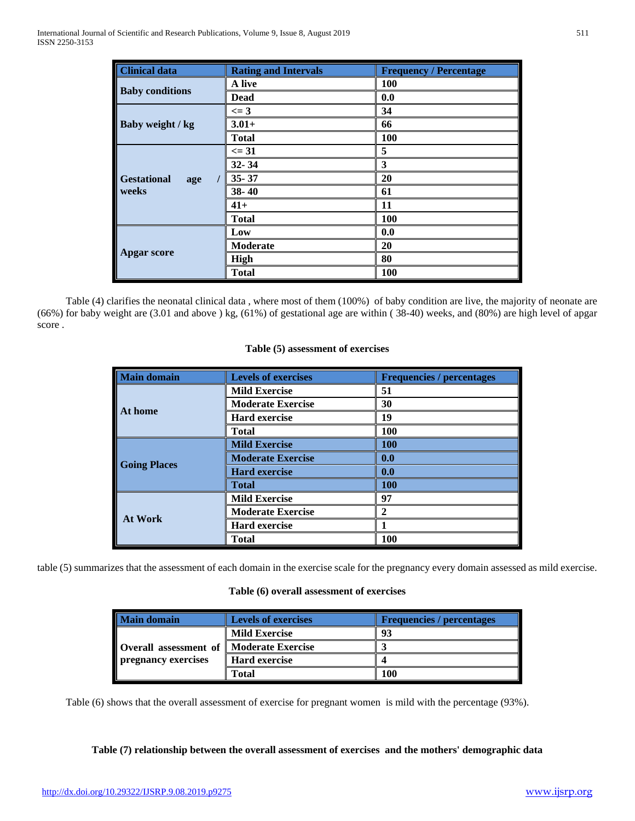| <b>Clinical data</b>               | <b>Rating and Intervals</b> | <b>Frequency / Percentage</b> |
|------------------------------------|-----------------------------|-------------------------------|
| <b>Baby conditions</b>             | A live                      | 100                           |
|                                    | <b>Dead</b>                 | 0.0                           |
|                                    | $\leq$ 3                    | 34                            |
| Baby weight / kg                   | $3.01+$                     | 66                            |
|                                    | <b>Total</b>                | <b>100</b>                    |
|                                    | $\leq 31$                   | 5                             |
| <b>Gestational</b><br>age<br>weeks | $32 - 34$                   | 3                             |
|                                    | $35 - 37$                   | 20                            |
|                                    | $38 - 40$                   | 61                            |
|                                    | $41+$                       | 11                            |
|                                    | <b>Total</b>                | 100                           |
|                                    | Low                         | 0.0                           |
| <b>Apgar score</b>                 | <b>Moderate</b>             | 20                            |
|                                    | <b>High</b>                 | 80                            |
|                                    | <b>Total</b>                | <b>100</b>                    |

Table (4) clarifies the neonatal clinical data , where most of them (100%) of baby condition are live, the majority of neonate are (66%) for baby weight are (3.01 and above ) kg, (61%) of gestational age are within ( 38-40) weeks, and (80%) are high level of apgar score .

## **Table (5) assessment of exercises**

| Main domain         | <b>Levels of exercises</b><br><b>Frequencies / percentages</b> |                       |
|---------------------|----------------------------------------------------------------|-----------------------|
|                     | <b>Mild Exercise</b>                                           | 51                    |
|                     | <b>Moderate Exercise</b>                                       | 30                    |
| At home             | <b>Hard exercise</b>                                           | 19                    |
|                     | <b>Total</b>                                                   | 100                   |
|                     | <b>Mild Exercise</b>                                           | <b>100</b>            |
|                     | <b>Moderate Exercise</b>                                       | 0.0                   |
| <b>Going Places</b> | <b>Hard exercise</b>                                           | 0.0                   |
|                     | <b>Total</b>                                                   | <b>100</b>            |
|                     | <b>Mild Exercise</b>                                           | 97                    |
| <b>At Work</b>      | <b>Moderate Exercise</b>                                       | $\mathcal{D}_{\cdot}$ |
|                     | <b>Hard exercise</b>                                           |                       |
|                     | Total                                                          | 100                   |

table (5) summarizes that the assessment of each domain in the exercise scale for the pregnancy every domain assessed as mild exercise.

## **Table (6) overall assessment of exercises**

| <b>Main domain</b>                         | <b>Levels of exercises</b> | <b>Frequencies</b> / percentages |
|--------------------------------------------|----------------------------|----------------------------------|
|                                            | <b>Mild Exercise</b>       | 93                               |
| Overall assessment of    Moderate Exercise |                            |                                  |
| <b>pregnancy exercises</b>                 | <b>Hard exercise</b>       |                                  |
|                                            | Total                      | <b>100</b>                       |

Table (6) shows that the overall assessment of exercise for pregnant women is mild with the percentage (93%).

**Table (7) relationship between the overall assessment of exercises and the mothers' demographic data**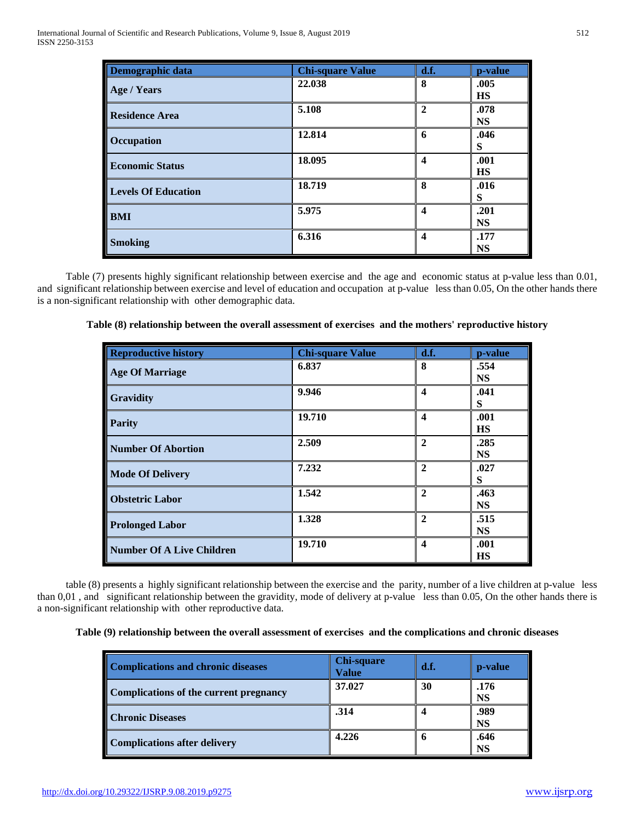| Demographic data           | <b>Chi-square Value</b> | d.f.             | p-value           |
|----------------------------|-------------------------|------------------|-------------------|
| Age / Years                | 22.038                  | 8                | .005<br><b>HS</b> |
| <b>Residence Area</b>      | 5.108                   | $\mathbf{2}$     | .078<br><b>NS</b> |
| Occupation                 | 12.814                  | 6                | .046<br>S         |
| <b>Economic Status</b>     | 18.095                  | 4                | .001<br><b>HS</b> |
| <b>Levels Of Education</b> | 18.719                  | 8                | .016<br>S         |
| <b>BMI</b>                 | 5.975                   | $\boldsymbol{4}$ | .201<br><b>NS</b> |
| <b>Smoking</b>             | 6.316                   | $\boldsymbol{4}$ | .177<br><b>NS</b> |

Table (7) presents highly significant relationship between exercise and the age and economic status at p-value less than 0.01, and significant relationship between exercise and level of education and occupation at p-value less than 0.05, On the other hands there is a non-significant relationship with other demographic data.

| <b>Reproductive history</b>      | <b>Chi-square Value</b> | d.f.                    | p-value           |
|----------------------------------|-------------------------|-------------------------|-------------------|
| <b>Age Of Marriage</b>           | 6.837                   | 8                       | .554<br><b>NS</b> |
| <b>Gravidity</b>                 | 9.946                   | $\overline{\mathbf{4}}$ | .041<br>S         |
| <b>Parity</b>                    | 19.710                  | 4                       | .001<br><b>HS</b> |
| <b>Number Of Abortion</b>        | 2.509                   | $\overline{2}$          | .285<br><b>NS</b> |
| <b>Mode Of Delivery</b>          | 7.232                   | $\mathbf{2}$            | .027<br>S         |
| <b>Obstetric Labor</b>           | 1.542                   | $\mathbf{2}$            | .463<br><b>NS</b> |
| <b>Prolonged Labor</b>           | 1.328                   | $\mathbf{2}$            | .515<br><b>NS</b> |
| <b>Number Of A Live Children</b> | 19.710                  | $\boldsymbol{4}$        | .001<br>НS        |

**Table (8) relationship between the overall assessment of exercises and the mothers' reproductive history**

table (8) presents a highly significant relationship between the exercise and the parity, number of a live children at p-value less than 0,01 , and significant relationship between the gravidity, mode of delivery at p-value less than 0.05, On the other hands there is a non-significant relationship with other reproductive data.

## **Table (9) relationship between the overall assessment of exercises and the complications and chronic diseases**

| <b>Complications and chronic diseases</b> | Chi-square<br>Value | d.f. | p-value           |
|-------------------------------------------|---------------------|------|-------------------|
| Complications of the current pregnancy    | 37.027              | 30   | .176<br><b>NS</b> |
| <b>Chronic Diseases</b>                   | .314                |      | .989<br><b>NS</b> |
| <b>Complications after delivery</b>       | 4.226               | h    | .646<br><b>NS</b> |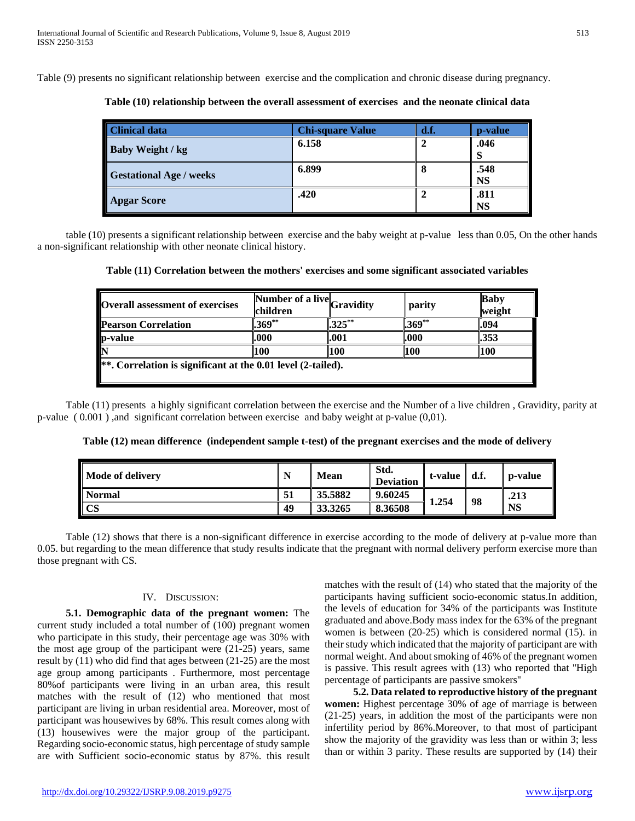Table (9) presents no significant relationship between exercise and the complication and chronic disease during pregnancy.

| <b>Clinical data</b>           | <b>Chi-square Value</b> | d.f. | p-value           |
|--------------------------------|-------------------------|------|-------------------|
| Baby Weight / kg               | 6.158                   |      | .046              |
| <b>Gestational Age / weeks</b> | 6.899                   |      | .548<br><b>NS</b> |
| <b>Apgar Score</b>             | .420                    |      | .811<br><b>NS</b> |

**Table (10) relationship between the overall assessment of exercises and the neonate clinical data**

table (10) presents a significant relationship between exercise and the baby weight at p-value less than 0.05, On the other hands a non-significant relationship with other neonate clinical history.

**Table (11) Correlation between the mothers' exercises and some significant associated variables**

| <b>Overall assessment of exercises</b> | children | Number of a live Gravidity | parity     | <b>Baby</b><br>weight |  |
|----------------------------------------|----------|----------------------------|------------|-----------------------|--|
| <b>Pearson Correlation</b>             | $.369**$ | $325***$                   | $.369**$   | l.094                 |  |
| p-value                                | .000     | .001                       | .000       | 1.353                 |  |
| N                                      | 100      | 100                        | <b>100</b> | <b>100</b>            |  |

Table (11) presents a highly significant correlation between the exercise and the Number of a live children , Gravidity, parity at p-value ( 0.001 ) ,and significant correlation between exercise and baby weight at p-value (0,01).

**Table (12) mean difference (independent sample t-test) of the pregnant exercises and the mode of delivery**

| Mode of delivery     | N  | <b>Mean</b> | Std.<br><b>Deviation</b> | t-value $\parallel$ d.f. |    | <b>p-value</b> |
|----------------------|----|-------------|--------------------------|--------------------------|----|----------------|
| <b>Normal</b>        | 51 | 35.5882     | 9.60245                  |                          | 98 | .213           |
| $\mathbf{\Gamma}$ CS | 49 | 33.3265     | 8.36508                  | 1.254                    |    | <b>NS</b>      |

Table (12) shows that there is a non-significant difference in exercise according to the mode of delivery at p-value more than 0.05. but regarding to the mean difference that study results indicate that the pregnant with normal delivery perform exercise more than those pregnant with CS.

## IV. DISCUSSION:

 **5.1. Demographic data of the pregnant women:** The current study included a total number of (100) pregnant women who participate in this study, their percentage age was 30% with the most age group of the participant were (21-25) years, same result by (11) who did find that ages between (21-25) are the most age group among participants . Furthermore, most percentage 80%of participants were living in an urban area, this result matches with the result of (12) who mentioned that most participant are living in urban residential area. Moreover, most of participant was housewives by 68%. This result comes along with (13) housewives were the major group of the participant. Regarding socio-economic status, high percentage of study sample are with Sufficient socio-economic status by 87%. this result

matches with the result of (14) who stated that the majority of the participants having sufficient socio-economic status.In addition, the levels of education for 34% of the participants was Institute graduated and above.Body mass index for the 63% of the pregnant women is between (20-25) which is considered normal (15). in their study which indicated that the majority of participant are with normal weight. And about smoking of 46% of the pregnant women is passive. This result agrees with (13) who reported that ''High percentage of participants are passive smokers''

 **5.2. Data related to reproductive history of the pregnant women:** Highest percentage 30% of age of marriage is between (21-25) years, in addition the most of the participants were non infertility period by 86%.Moreover, to that most of participant show the majority of the gravidity was less than or within 3; less than or within 3 parity. These results are supported by (14) their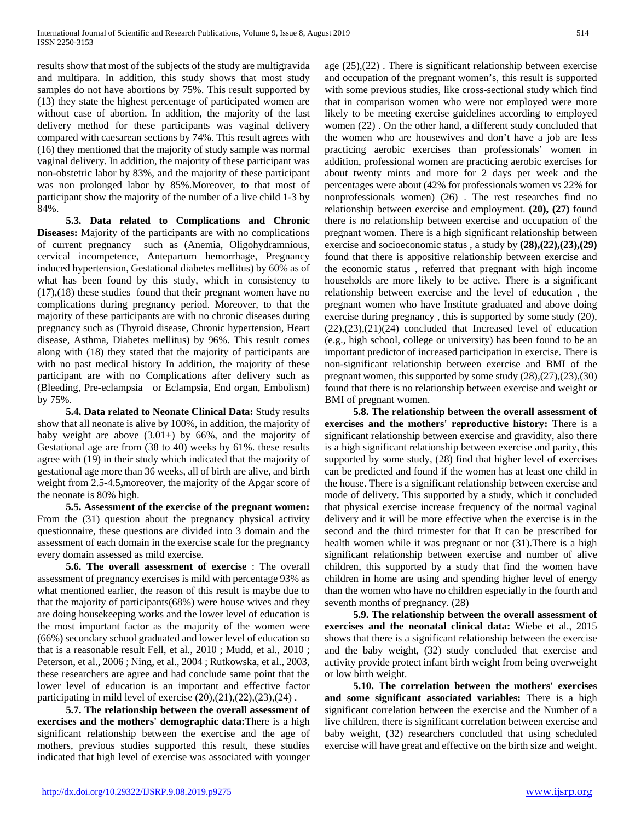results show that most of the subjects of the study are multigravida and multipara. In addition, this study shows that most study samples do not have abortions by 75%. This result supported by (13) they state the highest percentage of participated women are without case of abortion. In addition, the majority of the last delivery method for these participants was vaginal delivery compared with caesarean sections by 74%. This result agrees with (16) they mentioned that the majority of study sample was normal vaginal delivery. In addition, the majority of these participant was non-obstetric labor by 83%, and the majority of these participant was non prolonged labor by 85%.Moreover, to that most of participant show the majority of the number of a live child 1-3 by 84%.

 **5.3. Data related to Complications and Chronic Diseases:** Majority of the participants are with no complications of current pregnancy such as (Anemia, Oligohydramnious, cervical incompetence, Antepartum hemorrhage, Pregnancy induced hypertension, Gestational diabetes mellitus) by 60% as of what has been found by this study, which in consistency to (17),(18) these studies found that their pregnant women have no complications during pregnancy period. Moreover, to that the majority of these participants are with no chronic diseases during pregnancy such as (Thyroid disease, Chronic hypertension, Heart disease, Asthma, Diabetes mellitus) by 96%. This result comes along with (18) they stated that the majority of participants are with no past medical history In addition, the majority of these participant are with no Complications after delivery such as (Bleeding, Pre-eclampsia or Eclampsia, End organ, Embolism) by 75%.

 **5.4. Data related to Neonate Clinical Data:** Study results show that all neonate is alive by 100%, in addition, the majority of baby weight are above  $(3.01+)$  by 66%, and the majority of Gestational age are from (38 to 40) weeks by 61%. these results agree with (19) in their study which indicated that the majority of gestational age more than 36 weeks, all of birth are alive, and birth weight from 2.5-4.5**,**moreover, the majority of the Apgar score of the neonate is 80% high.

 **5.5. Assessment of the exercise of the pregnant women:**  From the (31) question about the pregnancy physical activity questionnaire, these questions are divided into 3 domain and the assessment of each domain in the exercise scale for the pregnancy every domain assessed as mild exercise.

 **5.6. The overall assessment of exercise** : The overall assessment of pregnancy exercises is mild with percentage 93% as what mentioned earlier, the reason of this result is maybe due to that the majority of participants(68%) were house wives and they are doing housekeeping works and the lower level of education is the most important factor as the majority of the women were (66%) secondary school graduated and lower level of education so that is a reasonable result Fell, et al., 2010 ; Mudd, et al., 2010 ; Peterson, et al., 2006 ; Ning, et al., 2004 ; Rutkowska, et al., 2003, these researchers are agree and had conclude same point that the lower level of education is an important and effective factor participating in mild level of exercise  $(20),(21),(22),(23),(24)$ .

 **5.7. The relationship between the overall assessment of exercises and the mothers' demographic data:**There is a high significant relationship between the exercise and the age of mothers, previous studies supported this result, these studies indicated that high level of exercise was associated with younger

age (25),(22) . There is significant relationship between exercise and occupation of the pregnant women's, this result is supported with some previous studies, like cross-sectional study which find that in comparison women who were not employed were more likely to be meeting exercise guidelines according to employed women (22) . On the other hand, a different study concluded that the women who are housewives and don't have a job are less practicing aerobic exercises than professionals' women in addition, professional women are practicing aerobic exercises for about twenty mints and more for 2 days per week and the percentages were about (42% for professionals women vs 22% for nonprofessionals women) (26) . The rest researches find no relationship between exercise and employment. **(20), (27)** found there is no relationship between exercise and occupation of the pregnant women. There is a high significant relationship between exercise and socioeconomic status , a study by **(28),(22),(23),(29)** found that there is appositive relationship between exercise and the economic status , referred that pregnant with high income households are more likely to be active. There is a significant relationship between exercise and the level of education , the pregnant women who have Institute graduated and above doing exercise during pregnancy , this is supported by some study (20),  $(22),(23),(21)(24)$  concluded that Increased level of education (e.g., high school, college or university) has been found to be an important predictor of increased participation in exercise. There is non-significant relationship between exercise and BMI of the pregnant women, this supported by some study (28),(27),(23),(30) found that there is no relationship between exercise and weight or BMI of pregnant women.

 **5.8. The relationship between the overall assessment of exercises and the mothers' reproductive history:** There is a significant relationship between exercise and gravidity, also there is a high significant relationship between exercise and parity, this supported by some study, (28) find that higher level of exercises can be predicted and found if the women has at least one child in the house. There is a significant relationship between exercise and mode of delivery. This supported by a study, which it concluded that physical exercise increase frequency of the normal vaginal delivery and it will be more effective when the exercise is in the second and the third trimester for that It can be prescribed for health women while it was pregnant or not  $(31)$ . There is a high significant relationship between exercise and number of alive children, this supported by a study that find the women have children in home are using and spending higher level of energy than the women who have no children especially in the fourth and seventh months of pregnancy. (28)

 **5.9. The relationship between the overall assessment of exercises and the neonatal clinical data:** Wiebe et al., 2015 shows that there is a significant relationship between the exercise and the baby weight, (32) study concluded that exercise and activity provide protect infant birth weight from being overweight or low birth weight.

 **5.10. The correlation between the mothers' exercises and some significant associated variables:** There is a high significant correlation between the exercise and the Number of a live children, there is significant correlation between exercise and baby weight, (32) researchers concluded that using scheduled exercise will have great and effective on the birth size and weight.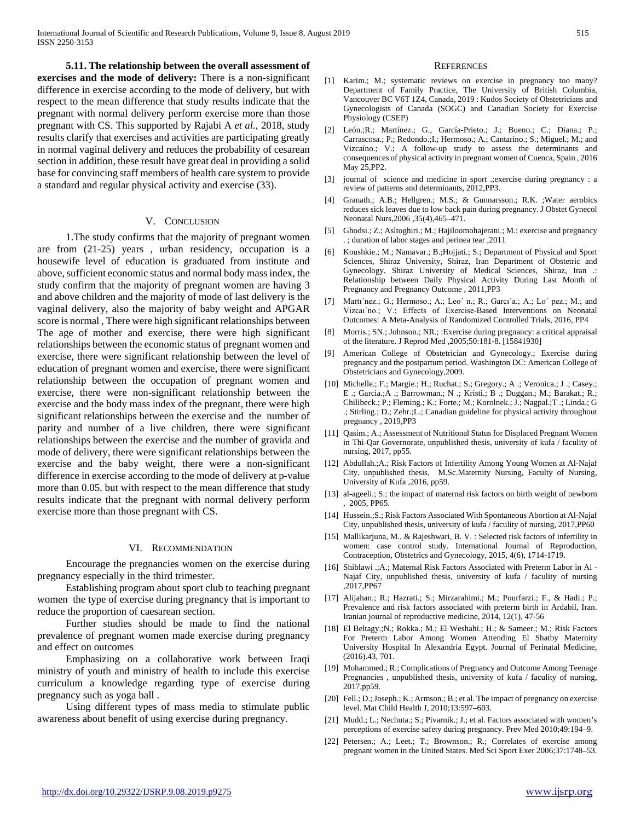**5.11. The relationship between the overall assessment of exercises and the mode of delivery:** There is a non-significant difference in exercise according to the mode of delivery, but with respect to the mean difference that study results indicate that the pregnant with normal delivery perform exercise more than those pregnant with CS. This supported by Rajabi A *et al.,* 2018, study results clarify that exercises and activities are participating greatly in normal vaginal delivery and reduces the probability of cesarean section in addition, these result have great deal in providing a solid base for convincing staff members of health care system to provide a standard and regular physical activity and exercise (33).

#### V. CONCLUSION

1.The study confirms that the majority of pregnant women are from (21-25) years , urban residency, occupation is a housewife level of education is graduated from institute and above, sufficient economic status and normal body mass index, the study confirm that the majority of pregnant women are having 3 and above children and the majority of mode of last delivery is the vaginal delivery, also the majority of baby weight and APGAR score is normal , There were high significant relationships between The age of mother and exercise, there were high significant relationships between the economic status of pregnant women and exercise, there were significant relationship between the level of education of pregnant women and exercise, there were significant relationship between the occupation of pregnant women and exercise, there were non-significant relationship between the exercise and the body mass index of the pregnant, there were high significant relationships between the exercise and the number of parity and number of a live children, there were significant relationships between the exercise and the number of gravida and mode of delivery, there were significant relationships between the exercise and the baby weight, there were a non-significant difference in exercise according to the mode of delivery at p-value more than 0.05. but with respect to the mean difference that study results indicate that the pregnant with normal delivery perform exercise more than those pregnant with CS.

#### VI. RECOMMENDATION

Encourage the pregnancies women on the exercise during pregnancy especially in the third trimester.

Establishing program about sport club to teaching pregnant women the type of exercise during pregnancy that is important to reduce the proportion of caesarean section.

Further studies should be made to find the national prevalence of pregnant women made exercise during pregnancy and effect on outcomes

Emphasizing on a collaborative work between Iraqi ministry of youth and ministry of health to include this exercise curriculum a knowledge regarding type of exercise during pregnancy such as yoga ball .

Using different types of mass media to stimulate public awareness about benefit of using exercise during pregnancy.

#### **REFERENCES**

- [1] Karim.; M.; systematic reviews on exercise in pregnancy too many? Department of Family Practice, The University of British Columbia, Vancouver BC V6T 1Z4, Canada, 2019 : Kudos Society of Obstetricians and Gynecologists of Canada (SOGC) and Canadian Society for Exercise Physiology (CSEP)
- [2] León.;R.; Martínez.; G., García-Prieto.; J.; Bueno.; C.; Diana.; P.; Carrascosa.; P.; Redondo.;I.; Hermoso.; A.; Cantarino.; S.; Miguel.; M.; and Vizcaíno.; V.; A follow-up study to assess the determinants and consequences of physical activity in pregnant women of Cuenca, Spain , 2016 May 25,PP2.
- [3] journal of science and medicine in sport .;exercise during pregnancy : a review of patterns and determinants, 2012,PP3.
- [4] Granath.; A.B.; Hellgren.; M.S.; & Gunnarsson.; R.K. ;Water aerobics reduces sick leaves due to low back pain during pregnancy. J Obstet Gynecol Neonatal Nurs,2006 ,35(4),465–471.
- [5] Ghodsi.; Z.; Asltoghiri.; M.; Hajiloomohajerani.; M.; exercise and pregnancy . ; duration of labor stages and perinea tear ,2011
- [6] Koushkie.; M.; Namavar.; B.;Hojjati.; S.; Department of Physical and Sport Sciences, Shiraz University, Shiraz, Iran Department of Obstetric and Gynecology, Shiraz University of Medical Sciences, Shiraz, Iran .: Relationship between Daily Physical Activity During Last Month of Pregnancy and Pregnancy Outcome , 2011,PP3
- [7] Martı'nez.; G.; Hermoso.; A.; Leo' n.; R.; Garcı'a.; A.; Lo' pez.; M.; and Vizcaı´no.; V.; Effects of Exercise-Based Interventions on Neonatal Outcomes: A Meta-Analysis of Randomized Controlled Trials, 2016, PP4
- [8] Morris.; SN.; Johnson.; NR.; :Exercise during pregnancy: a critical appraisal of the literature. J Reprod Med ,2005;50:181-8. [15841930]
- [9] American College of Obstetrician and Gynecology.; Exercise during pregnancy and the postpartum period. Washington DC: American College of Obstetricians and Gynecology,2009.
- [10] Michelle.; F.; Margie.; H.; Ruchat.; S.; Gregory.; A .; Veronica.; J .; Casey.; E .; Garcia.;A .; Barrowman.; N .; Kristi.; B .; Duggan.; M.; Barakat.; R.; Chilibeck.; P.; Fleming.; K.; Forte.; M.; Korolnek.; J.; Nagpal.;T .; Linda.; G .; Stirling.; D.; Zehr.;L.; Canadian guideline for physical activity throughout pregnancy , 2019,PP3
- [11] Qasim.; A.; Assessment of Nutritional Status for Displaced Pregnant Women in Thi-Qar Governorate, unpublished thesis, university of kufa / faculity of nursing, 2017, pp55.
- [12] Abdullah.;A.; Risk Factors of Infertility Among Young Women at Al-Najaf City, unpublished thesis, M.Sc.Maternity Nursing, Faculty of Nursing, University of Kufa ,2016, pp59.
- [13] al-ageeli.; S.; the impact of maternal risk factors on birth weight of newborn , 2005, PP65.
- [14] Hussein.; S.; Risk Factors Associated With Spontaneous Abortion at Al-Najaf City, unpublished thesis, university of kufa / faculity of nursing, 2017,PP60
- [15] Mallikarjuna, M., & Rajeshwari, B. V. : Selected risk factors of infertility in women: case control study. International Journal of Reproduction, Contraception, Obstetrics and Gynecology, 2015, 4(6), 1714-1719.
- [16] Shiblawi .; A.; Maternal Risk Factors Associated with Preterm Labor in Al -Najaf City, unpublished thesis, university of kufa / faculity of nursing ,2017,PP67
- [17] Alijahan.; R.; Hazrati.; S.; Mirzarahimi.; M.; Pourfarzi.; F., & Hadi.; P.; Prevalence and risk factors associated with preterm birth in Ardabil, Iran. Iranian journal of reproductive medicine, 2014, 12(1), 47-56
- [18] El Beltagy.;N.; Rokka.; M.; El Weshahi.; H.; & Sameer.; M.; Risk Factors For Preterm Labor Among Women Attending El Shatby Maternity University Hospital In Alexandria Egypt. Journal of Perinatal Medicine, (2016).43, 701.
- [19] Mohammed.; R.; Complications of Pregnancy and Outcome Among Teenage Pregnancies , unpublished thesis, university of kufa / faculity of nursing, 2017,pp59.
- [20] Fell.; D.; Joseph.; K.; Armson.; B.; et al. The impact of pregnancy on exercise level. Mat Child Health J, 2010;13:597–603.
- [21] Mudd.; L.; Nechuta.; S.; Pivarnik.; J.; et al. Factors associated with women's perceptions of exercise safety during pregnancy. Prev Med 2010;49:194–9.
- [22] Petersen.; A.; Leet.; T.; Brownson.; R.; Correlates of exercise among pregnant women in the United States. Med Sci Sport Exer 2006;37:1748–53.